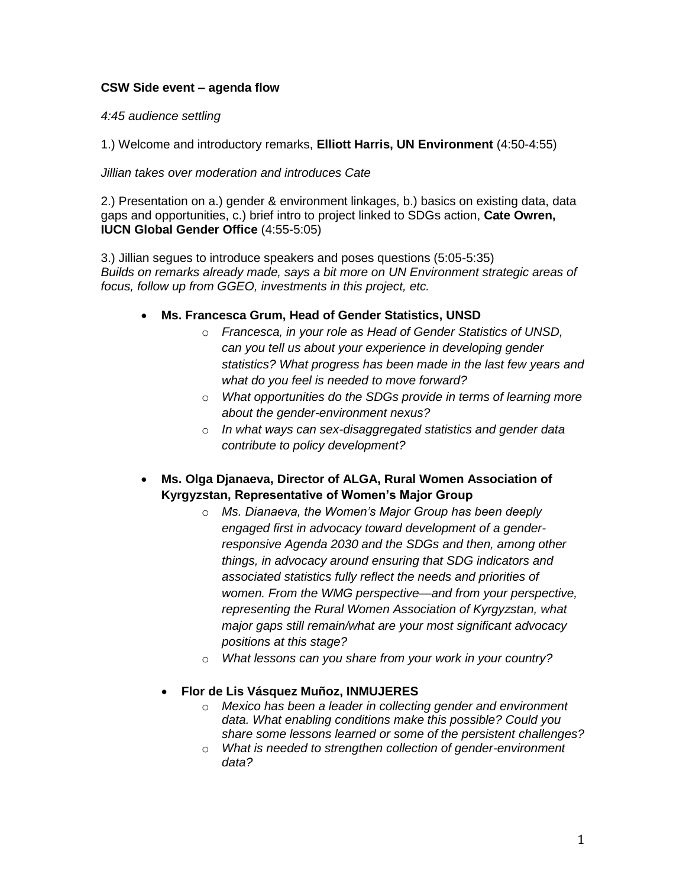## **CSW Side event – agenda flow**

## *4:45 audience settling*

1.) Welcome and introductory remarks, **Elliott Harris, UN Environment** (4:50-4:55)

## *Jillian takes over moderation and introduces Cate*

2.) Presentation on a.) gender & environment linkages, b.) basics on existing data, data gaps and opportunities, c.) brief intro to project linked to SDGs action, **Cate Owren, IUCN Global Gender Office** (4:55-5:05)

3.) Jillian segues to introduce speakers and poses questions (5:05-5:35) *Builds on remarks already made, says a bit more on UN Environment strategic areas of focus, follow up from GGEO, investments in this project, etc.*

- **Ms. Francesca Grum, Head of Gender Statistics, UNSD** 
	- o *Francesca, in your role as Head of Gender Statistics of UNSD, can you tell us about your experience in developing gender statistics? What progress has been made in the last few years and what do you feel is needed to move forward?*
	- o *What opportunities do the SDGs provide in terms of learning more about the gender-environment nexus?*
	- o *In what ways can sex-disaggregated statistics and gender data contribute to policy development?*
- **Ms. Olga Djanaeva, Director of ALGA, Rural Women Association of Kyrgyzstan, Representative of Women's Major Group**
	- o *Ms. Dianaeva, the Women's Major Group has been deeply engaged first in advocacy toward development of a genderresponsive Agenda 2030 and the SDGs and then, among other things, in advocacy around ensuring that SDG indicators and associated statistics fully reflect the needs and priorities of women. From the WMG perspective—and from your perspective, representing the Rural Women Association of Kyrgyzstan, what major gaps still remain/what are your most significant advocacy positions at this stage?*
	- o *What lessons can you share from your work in your country?*

## **Flor de Lis Vásquez Muñoz, INMUJERES**

- o *Mexico has been a leader in collecting gender and environment data. What enabling conditions make this possible? Could you share some lessons learned or some of the persistent challenges?*
- o *What is needed to strengthen collection of gender-environment data?*